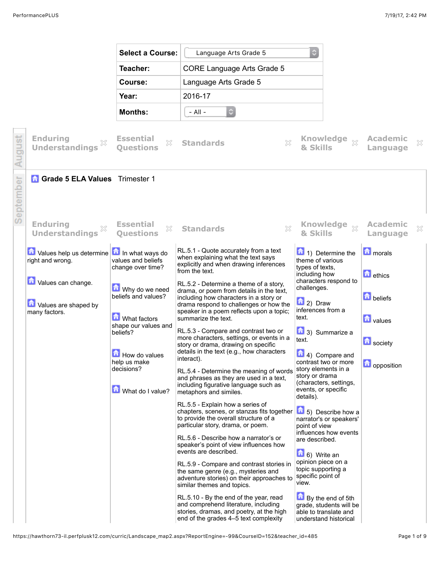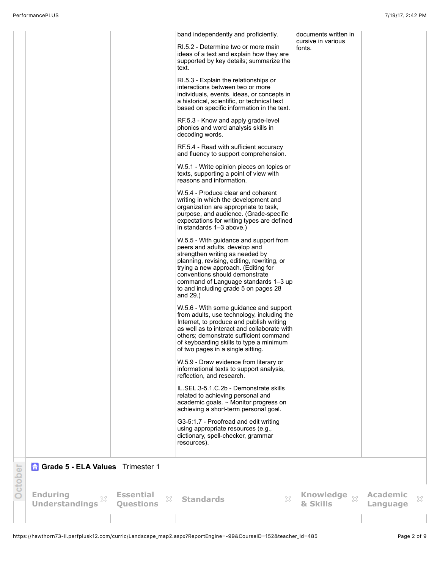|         |                                          |                                           | band independently and proficiently.<br>RI.5.2 - Determine two or more main<br>ideas of a text and explain how they are<br>supported by key details; summarize the<br>text.<br>RI.5.3 - Explain the relationships or<br>interactions between two or more<br>individuals, events, ideas, or concepts in<br>a historical, scientific, or technical text<br>based on specific information in the text.<br>RF.5.3 - Know and apply grade-level<br>phonics and word analysis skills in<br>decoding words.<br>RF.5.4 - Read with sufficient accuracy<br>and fluency to support comprehension.<br>W.5.1 - Write opinion pieces on topics or<br>texts, supporting a point of view with<br>reasons and information.<br>W.5.4 - Produce clear and coherent<br>writing in which the development and<br>organization are appropriate to task,<br>purpose, and audience. (Grade-specific<br>expectations for writing types are defined<br>in standards 1-3 above.)<br>W.5.5 - With guidance and support from | documents written in<br>cursive in various<br>fonts. |                             |   |
|---------|------------------------------------------|-------------------------------------------|-------------------------------------------------------------------------------------------------------------------------------------------------------------------------------------------------------------------------------------------------------------------------------------------------------------------------------------------------------------------------------------------------------------------------------------------------------------------------------------------------------------------------------------------------------------------------------------------------------------------------------------------------------------------------------------------------------------------------------------------------------------------------------------------------------------------------------------------------------------------------------------------------------------------------------------------------------------------------------------------------|------------------------------------------------------|-----------------------------|---|
|         |                                          |                                           | peers and adults, develop and<br>strengthen writing as needed by<br>planning, revising, editing, rewriting, or<br>trying a new approach. (Editing for<br>conventions should demonstrate<br>command of Language standards 1-3 up<br>to and including grade 5 on pages 28<br>and 29.)                                                                                                                                                                                                                                                                                                                                                                                                                                                                                                                                                                                                                                                                                                             |                                                      |                             |   |
|         |                                          |                                           | W.5.6 - With some guidance and support<br>from adults, use technology, including the<br>Internet, to produce and publish writing<br>as well as to interact and collaborate with<br>others; demonstrate sufficient command<br>of keyboarding skills to type a minimum<br>of two pages in a single sitting.<br>W.5.9 - Draw evidence from literary or                                                                                                                                                                                                                                                                                                                                                                                                                                                                                                                                                                                                                                             |                                                      |                             |   |
|         |                                          |                                           | informational texts to support analysis,<br>reflection, and research.                                                                                                                                                                                                                                                                                                                                                                                                                                                                                                                                                                                                                                                                                                                                                                                                                                                                                                                           |                                                      |                             |   |
|         |                                          |                                           | IL.SEL.3-5.1.C.2b - Demonstrate skills<br>related to achieving personal and<br>academic goals. ~ Monitor progress on<br>achieving a short-term personal goal.                                                                                                                                                                                                                                                                                                                                                                                                                                                                                                                                                                                                                                                                                                                                                                                                                                   |                                                      |                             |   |
|         |                                          |                                           | G3-5:1.7 - Proofread and edit writing<br>using appropriate resources (e.g.,<br>dictionary, spell-checker, grammar<br>resources).                                                                                                                                                                                                                                                                                                                                                                                                                                                                                                                                                                                                                                                                                                                                                                                                                                                                |                                                      |                             |   |
|         | <b>Grade 5 - ELA Values</b> Trimester 1  |                                           |                                                                                                                                                                                                                                                                                                                                                                                                                                                                                                                                                                                                                                                                                                                                                                                                                                                                                                                                                                                                 |                                                      |                             |   |
| October |                                          |                                           |                                                                                                                                                                                                                                                                                                                                                                                                                                                                                                                                                                                                                                                                                                                                                                                                                                                                                                                                                                                                 |                                                      |                             |   |
|         | <b>Enduring</b><br><b>Understandings</b> | <b>Essential</b><br>X<br><b>Questions</b> | X<br><b>Standards</b>                                                                                                                                                                                                                                                                                                                                                                                                                                                                                                                                                                                                                                                                                                                                                                                                                                                                                                                                                                           | Knowledge xx<br>& Skills                             | <b>Academic</b><br>Language | × |
|         |                                          |                                           |                                                                                                                                                                                                                                                                                                                                                                                                                                                                                                                                                                                                                                                                                                                                                                                                                                                                                                                                                                                                 |                                                      |                             |   |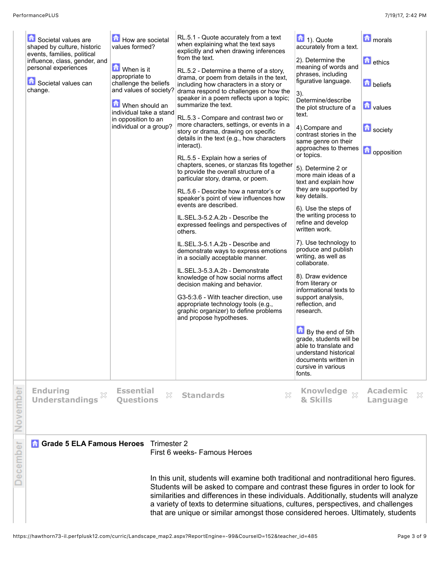| Societal values are<br>shaped by culture, historic<br>events, families, political<br>influence, class, gender, and<br>personal experiences<br>Societal values can<br>change. | How are societal<br>values formed?<br>When is it<br>appropriate to<br>challenge the beliefs<br>and values of society?<br>When should an<br>individual take a stand<br>in opposition to an<br>individual or a group? | RL.5.1 - Quote accurately from a text<br>when explaining what the text says<br>explicitly and when drawing inferences<br>from the text.<br>RL.5.2 - Determine a theme of a story,<br>drama, or poem from details in the text,<br>including how characters in a story or<br>drama respond to challenges or how the<br>speaker in a poem reflects upon a topic;<br>summarize the text.<br>RL.5.3 - Compare and contrast two or<br>more characters, settings, or events in a<br>story or drama, drawing on specific<br>details in the text (e.g., how characters<br>interact).<br>RL.5.5 - Explain how a series of<br>chapters, scenes, or stanzas fits together<br>to provide the overall structure of a<br>particular story, drama, or poem.<br>RL.5.6 - Describe how a narrator's or<br>speaker's point of view influences how<br>events are described.<br>IL.SEL.3-5.2.A.2b - Describe the<br>expressed feelings and perspectives of<br>others.<br>IL.SEL.3-5.1.A.2b - Describe and<br>demonstrate ways to express emotions<br>in a socially acceptable manner.<br>IL.SEL.3-5.3.A.2b - Demonstrate<br>knowledge of how social norms affect<br>decision making and behavior.<br>G3-5:3.6 - With teacher direction, use<br>appropriate technology tools (e.g.,<br>graphic organizer) to define problems<br>and propose hypotheses. | $\boxed{\blacksquare}$ 1). Quote<br>accurately from a text.<br>2). Determine the<br>meaning of words and<br>phrases, including<br>figurative language.<br>$3)$ .<br>Determine/describe<br>the plot structure of a<br>text.<br>4).Compare and<br>contrast stories in the<br>same genre on their<br>approaches to themes<br>or topics.<br>5). Determine 2 or<br>more main ideas of a<br>text and explain how<br>they are supported by<br>key details.<br>6). Use the steps of<br>the writing process to<br>refine and develop<br>written work.<br>7). Use technology to<br>produce and publish<br>writing, as well as<br>collaborate.<br>8). Draw evidence<br>from literary or<br>informational texts to<br>support analysis,<br>reflection, and<br>research.<br>$\Box$ By the end of 5th<br>grade, students will be<br>able to translate and<br>understand historical<br>documents written in<br>cursive in various<br>fonts. | <b>n</b> orals<br><b>d</b> ethics<br><b>beliefs</b><br><b>T</b> values<br><b>b</b> society<br>opposition |
|------------------------------------------------------------------------------------------------------------------------------------------------------------------------------|---------------------------------------------------------------------------------------------------------------------------------------------------------------------------------------------------------------------|-----------------------------------------------------------------------------------------------------------------------------------------------------------------------------------------------------------------------------------------------------------------------------------------------------------------------------------------------------------------------------------------------------------------------------------------------------------------------------------------------------------------------------------------------------------------------------------------------------------------------------------------------------------------------------------------------------------------------------------------------------------------------------------------------------------------------------------------------------------------------------------------------------------------------------------------------------------------------------------------------------------------------------------------------------------------------------------------------------------------------------------------------------------------------------------------------------------------------------------------------------------------------------------------------------------------------------------|------------------------------------------------------------------------------------------------------------------------------------------------------------------------------------------------------------------------------------------------------------------------------------------------------------------------------------------------------------------------------------------------------------------------------------------------------------------------------------------------------------------------------------------------------------------------------------------------------------------------------------------------------------------------------------------------------------------------------------------------------------------------------------------------------------------------------------------------------------------------------------------------------------------------------|----------------------------------------------------------------------------------------------------------|
| <b>Enduring</b><br><b>Understandings</b>                                                                                                                                     | <b>Essential</b><br>X<br><b>Questions</b>                                                                                                                                                                           | X<br><b>Standards</b>                                                                                                                                                                                                                                                                                                                                                                                                                                                                                                                                                                                                                                                                                                                                                                                                                                                                                                                                                                                                                                                                                                                                                                                                                                                                                                             | Knowledge $\frac{1}{20}$<br>& Skills                                                                                                                                                                                                                                                                                                                                                                                                                                                                                                                                                                                                                                                                                                                                                                                                                                                                                         | <b>Academic</b><br>×<br>Language                                                                         |
| <b>Grade 5 ELA Famous Heroes</b>                                                                                                                                             | Trimester 2                                                                                                                                                                                                         | First 6 weeks- Famous Heroes<br>In this unit, students will examine both traditional and nontraditional hero figures.<br>Students will be asked to compare and contrast these figures in order to look for<br>similarities and differences in these individuals. Additionally, students will analyze<br>a variety of texts to determine situations, cultures, perspectives, and challenges<br>that are unique or similar amongst those considered heroes. Ultimately, students                                                                                                                                                                                                                                                                                                                                                                                                                                                                                                                                                                                                                                                                                                                                                                                                                                                    |                                                                                                                                                                                                                                                                                                                                                                                                                                                                                                                                                                                                                                                                                                                                                                                                                                                                                                                              |                                                                                                          |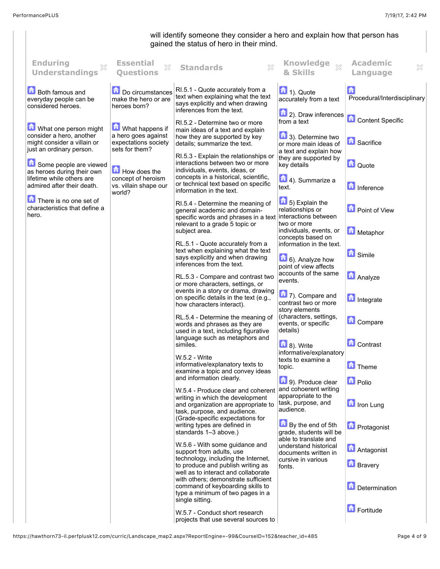## will identify someone they consider a hero and explain how that person has gained the status of hero in their mind. **Enduring Essential Academic Questions Standards Knowledge**  $\chi$  $\overline{\chi}$ **Understandings & Skills Language** RI.5.1 - Quote accurately from a **Both famous and** Do circumstances  $\boxed{\phantom{1}}$  1). Quote text when explaining what the text Procedural/Interdisciplinary make the hero or are everyday people can be accurately from a text says explicitly and when drawing considered heroes. heroes born? inferences from the text. **1** 2). Draw inferences **Content Specific** from a text RI.5.2 - Determine two or more What one person might **M** What happens if main ideas of a text and explain consider a hero, another a hero goes against **1** 3). Determine two how they are supported by key **Sacrifice** expectations society might consider a villain or details; summarize the text. or more main ideas of just an ordinary person. sets for them? a text and explain how RI.5.3 - Explain the relationships or they are supported by Some people are viewed interactions between two or more  $\Box$  Quote key details How does the individuals, events, ideas, or as heroes during their own concepts in a historical, scientific, lifetime while others are concept of heroism **1** 4). Summarize a or technical text based on specific admired after their death. **Inference** vs. villain shape our text. information in the text. world? There is no one set of  $\boxed{\bullet}$  5) Explain the RI.5.4 - Determine the meaning of characteristics that define a **Point of View** relationships or general academic and domainhero. interactions between specific words and phrases in a text relevant to a grade 5 topic or two or more individuals, events, or **Metaphor** subject area. concepts based on RL.5.1 - Quote accurately from a information in the text. text when explaining what the text **G** Simile says explicitly and when drawing 6). Analyze how inferences from the text. point of view affects accounts of the same **Analyze** RL.5.3 - Compare and contrast two events. or more characters, settings, or events in a story or drama, drawing **1** 7). Compare and on specific details in the text (e.g., **Integrate** contrast two or more how characters interact). story elements RL.5.4 - Determine the meaning of (characters, settings, **Compare** events, or specific words and phrases as they are used in a text, including figurative details) language such as metaphors and **Contrast** similes.  $\boxed{1}$  8). Write informative/explanatory W.5.2 - Write texts to examine a informative/explanatory texts to **Theme** topic. examine a topic and convey ideas and information clearly. **Polio** 9). Produce clear and cohoerent writing W.5.4 - Produce clear and coherent apparopriate to the writing in which the development task, purpose, and **In** Iron Lung and organization are appropriate to audience. task, purpose, and audience. (Grade-specific expectations for writing types are defined in **By the end of 5th D** Protagonist grade, students will be standards 1–3 above.) able to translate and W.5.6 - With some guidance and understand historical **Antagonist** support from adults, use documents written in technology, including the Internet, cursive in various **Bravery** to produce and publish writing as fonts. well as to interact and collaborate with others; demonstrate sufficient **D**etermination command of keyboarding skills to type a minimum of two pages in a single sitting. **Fortitude** W.5.7 - Conduct short research projects that use several sources to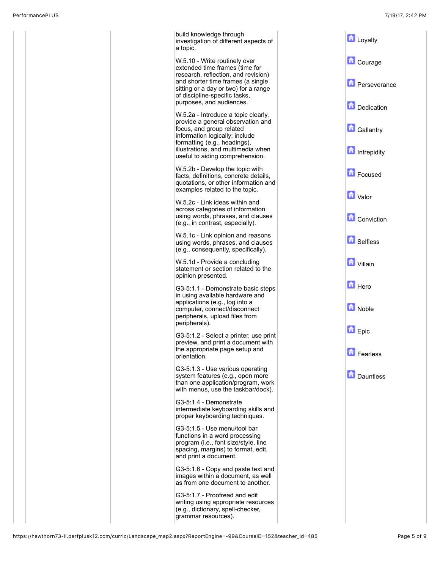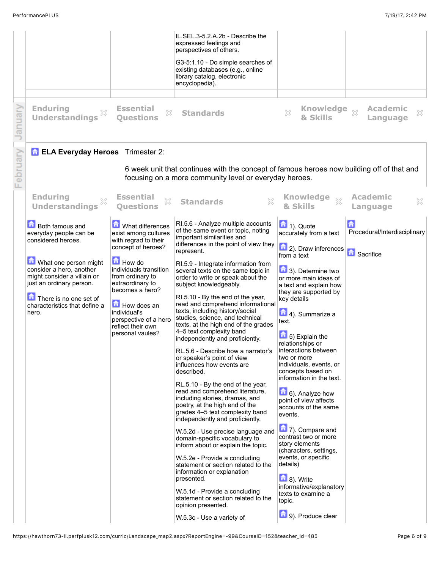|                |                                                                                                                                                                                                                                                            |                                                                                                                                                                                                                                                                                               | IL.SEL.3-5.2.A.2b - Describe the<br>expressed feelings and<br>perspectives of others.<br>G3-5:1.10 - Do simple searches of<br>existing databases (e.g., online<br>library catalog, electronic<br>encyclopedia).                                                                                                                                                                                                                                                                                                                                                                                                                                                                                                                                                                                                                                                                                                                                                                                                                                                                                                                                                                                                                                              |                                                                                                                                                                                                                                                                                                                                                                                                                                                                                                                                                                                                                                                                                                                                                                                                                                         |                                                    |
|----------------|------------------------------------------------------------------------------------------------------------------------------------------------------------------------------------------------------------------------------------------------------------|-----------------------------------------------------------------------------------------------------------------------------------------------------------------------------------------------------------------------------------------------------------------------------------------------|--------------------------------------------------------------------------------------------------------------------------------------------------------------------------------------------------------------------------------------------------------------------------------------------------------------------------------------------------------------------------------------------------------------------------------------------------------------------------------------------------------------------------------------------------------------------------------------------------------------------------------------------------------------------------------------------------------------------------------------------------------------------------------------------------------------------------------------------------------------------------------------------------------------------------------------------------------------------------------------------------------------------------------------------------------------------------------------------------------------------------------------------------------------------------------------------------------------------------------------------------------------|-----------------------------------------------------------------------------------------------------------------------------------------------------------------------------------------------------------------------------------------------------------------------------------------------------------------------------------------------------------------------------------------------------------------------------------------------------------------------------------------------------------------------------------------------------------------------------------------------------------------------------------------------------------------------------------------------------------------------------------------------------------------------------------------------------------------------------------------|----------------------------------------------------|
| anua           | <b>Enduring</b><br><b>Understandings</b>                                                                                                                                                                                                                   | <b>Essential</b><br>X<br><b>Ouestions</b>                                                                                                                                                                                                                                                     | <b>Standards</b>                                                                                                                                                                                                                                                                                                                                                                                                                                                                                                                                                                                                                                                                                                                                                                                                                                                                                                                                                                                                                                                                                                                                                                                                                                             | Knowledge xx<br>X<br>& Skills                                                                                                                                                                                                                                                                                                                                                                                                                                                                                                                                                                                                                                                                                                                                                                                                           | <b>Academic</b><br>X<br>Language                   |
| $\frac{1}{10}$ | <b>ELA Everyday Heroes</b> Trimester 2:                                                                                                                                                                                                                    |                                                                                                                                                                                                                                                                                               | 6 week unit that continues with the concept of famous heroes now building off of that and<br>focusing on a more community level or everyday heroes.                                                                                                                                                                                                                                                                                                                                                                                                                                                                                                                                                                                                                                                                                                                                                                                                                                                                                                                                                                                                                                                                                                          |                                                                                                                                                                                                                                                                                                                                                                                                                                                                                                                                                                                                                                                                                                                                                                                                                                         |                                                    |
|                | <b>Enduring</b><br><b>Understandings</b>                                                                                                                                                                                                                   | <b>Essential</b><br>X<br><b>Questions</b>                                                                                                                                                                                                                                                     | $\boldsymbol{\mathsf{X}}$<br><b>Standards</b>                                                                                                                                                                                                                                                                                                                                                                                                                                                                                                                                                                                                                                                                                                                                                                                                                                                                                                                                                                                                                                                                                                                                                                                                                | <b>Knowledge</b><br>$\chi$<br>& Skills                                                                                                                                                                                                                                                                                                                                                                                                                                                                                                                                                                                                                                                                                                                                                                                                  | <b>Academic</b><br>X<br>Language                   |
|                | <b>Both famous and</b><br>everyday people can be<br>considered heroes.<br>What one person might<br>consider a hero, another<br>might consider a villain or<br>just an ordinary person.<br>There is no one set of<br>characteristics that define a<br>hero. | What differences<br>exist among cultures<br>with regrad to their<br>concept of heroes?<br><b>How do</b><br>individuals transition<br>from ordinary to<br>extraordinary to<br>becomes a hero?<br>How does an<br>individual's<br>perspective of a hero<br>reflect their own<br>personal vaules? | RI.5.6 - Analyze multiple accounts<br>of the same event or topic, noting<br>important similarities and<br>differences in the point of view they<br>represent.<br>RI.5.9 - Integrate information from<br>several texts on the same topic in<br>order to write or speak about the<br>subject knowledgeably.<br>RI.5.10 - By the end of the year,<br>read and comprehend informational<br>texts, including history/social<br>studies, science, and technical<br>texts, at the high end of the grades<br>4-5 text complexity band<br>independently and proficiently.<br>RL.5.6 - Describe how a narrator's<br>or speaker's point of view<br>influences how events are<br>described.<br>RL.5.10 - By the end of the year,<br>read and comprehend literature,<br>including stories, dramas, and<br>poetry, at the high end of the<br>grades 4-5 text complexity band<br>independently and proficiently.<br>W.5.2d - Use precise language and<br>domain-specific vocabulary to<br>inform about or explain the topic.<br>W.5.2e - Provide a concluding<br>statement or section related to the<br>information or explanation<br>presented.<br>W.5.1d - Provide a concluding<br>statement or section related to the<br>opinion presented.<br>W.5.3c - Use a variety of | $\boxed{\blacksquare}$ 1). Quote<br>accurately from a text<br>$\left  \bullet \right $ 2). Draw inferences<br>from a text<br>$\blacksquare$ 3). Determine two<br>or more main ideas of<br>a text and explain how<br>they are supported by<br>key details<br>4). Summarize a<br>text.<br>$\boxed{\bullet}$ 5) Explain the<br>relationships or<br>Interactions between<br>two or more<br>individuals, events, or<br>concepts based on<br>information in the text.<br>6). Analyze how<br>point of view affects<br>accounts of the same<br>events.<br>$\left  \frac{1}{\sqrt{2}} \right $ 7). Compare and<br>contrast two or more<br>story elements<br>(characters, settings,<br>events, or specific<br>details)<br>$\left  \frac{1}{10} \right $ 8). Write<br>informative/explanatory<br>texts to examine a<br>topic.<br>9). Produce clear | Procedural/Interdisciplinary<br><b>n</b> Sacrifice |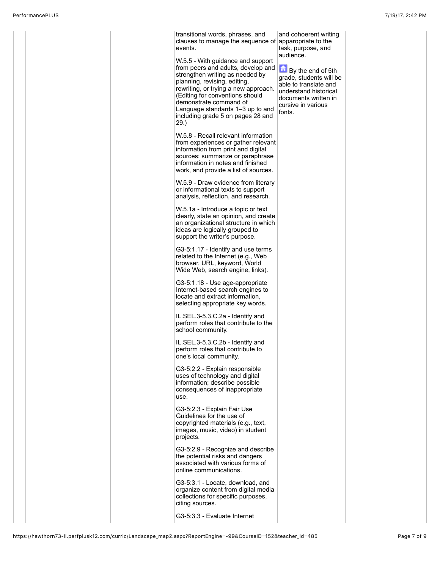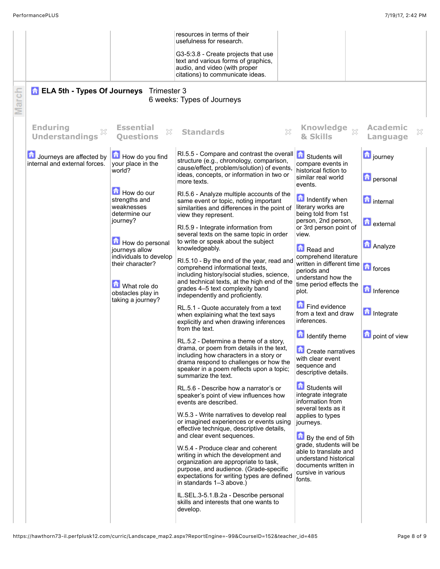|       |                                                           |                                                                        | resources in terms of their<br>usefulness for research.                                                                                                                                                                                          |                                                                                                                                   |                                        |
|-------|-----------------------------------------------------------|------------------------------------------------------------------------|--------------------------------------------------------------------------------------------------------------------------------------------------------------------------------------------------------------------------------------------------|-----------------------------------------------------------------------------------------------------------------------------------|----------------------------------------|
|       |                                                           |                                                                        | G3-5:3.8 - Create projects that use<br>text and various forms of graphics,<br>audio, and video (with proper<br>citations) to communicate ideas.                                                                                                  |                                                                                                                                   |                                        |
| March | <b>n</b> ELA 5th - Types Of Journeys                      | Trimester 3                                                            | 6 weeks: Types of Journeys                                                                                                                                                                                                                       |                                                                                                                                   |                                        |
|       | <b>Enduring</b><br><b>Understandings</b>                  | <b>Essential</b><br>$\mathbb{X}$<br><b>Ouestions</b>                   | <b>Standards</b><br>X                                                                                                                                                                                                                            | Knowledge xx<br>& Skills                                                                                                          | <b>Academic</b><br>X<br>Language       |
|       | Journeys are affected by<br>internal and external forces. | How do you find<br>your place in the<br>world?                         | RI.5.5 - Compare and contrast the overall $\left  \bullet \right $ Students will<br>structure (e.g., chronology, comparison,<br>cause/effect, problem/solution) of events<br>ideas, concepts, or information in two or<br>more texts.            | compare events in<br>historical fiction to<br>similar real world<br>events.                                                       | <b>D</b> journey<br><b>D</b> personal  |
|       |                                                           | How do our<br>strengths and<br>weaknesses<br>determine our<br>journey? | RI.5.6 - Analyze multiple accounts of the<br>same event or topic, noting important<br>similarities and differences in the point of<br>view they represent.                                                                                       | <b>n</b> Indentify when<br>literary works are<br>being told from 1st<br>person, 2nd person,                                       | <b>n</b> internal<br><b>D</b> external |
|       |                                                           | How do personal<br>journeys allow<br>individuals to develop            | RI.5.9 - Integrate information from<br>several texts on the same topic in order<br>to write or speak about the subject<br>knowledgeably.                                                                                                         | or 3rd person point of<br>view.<br>Read and<br>comprehend literature                                                              | <b>Analyze</b>                         |
|       |                                                           | their character?<br>What role do<br>obstacles play in                  | RI.5.10 - By the end of the year, read and<br>comprehend informational texts,<br>including history/social studies, science,<br>and technical texts, at the high end of the<br>grades 4-5 text complexity band<br>independently and proficiently. | written in different time<br>periods and<br>understand how the<br>time period effects the<br>plot.                                | <b>n</b> forces<br>Inference           |
|       |                                                           | taking a journey?                                                      | RL.5.1 - Quote accurately from a text<br>when explaining what the text says<br>explicitly and when drawing inferences<br>from the text.                                                                                                          | Find evidence<br>from a text and draw<br>inferences.                                                                              | Integrate                              |
|       |                                                           |                                                                        | RL.5.2 - Determine a theme of a story,<br>drama, or poem from details in the text.<br>including how characters in a story or<br>drama respond to challenges or how the<br>speaker in a poem reflects upon a topic;<br>summarize the text.        | <b>Identify theme</b><br>$\Box$ Create narratives<br>with clear event<br>sequence and<br>descriptive details.                     | point of view                          |
|       |                                                           |                                                                        | RL.5.6 - Describe how a narrator's or<br>speaker's point of view influences how<br>events are described.                                                                                                                                         | <b>Control</b> Students will<br>integrate integrate<br>information from<br>several texts as it                                    |                                        |
|       |                                                           |                                                                        | W.5.3 - Write narratives to develop real<br>or imagined experiences or events using<br>effective technique, descriptive details,<br>and clear event sequences.                                                                                   | applies to types<br>journeys.<br>By the end of 5th                                                                                |                                        |
|       |                                                           |                                                                        | W.5.4 - Produce clear and coherent<br>writing in which the development and<br>organization are appropriate to task,<br>purpose, and audience. (Grade-specific<br>expectations for writing types are defined<br>in standards 1-3 above.)          | grade, students will be<br>able to translate and<br>understand historical<br>documents written in<br>cursive in various<br>fonts. |                                        |
|       |                                                           |                                                                        | IL.SEL.3-5.1.B.2a - Describe personal<br>skills and interests that one wants to<br>develop.                                                                                                                                                      |                                                                                                                                   |                                        |